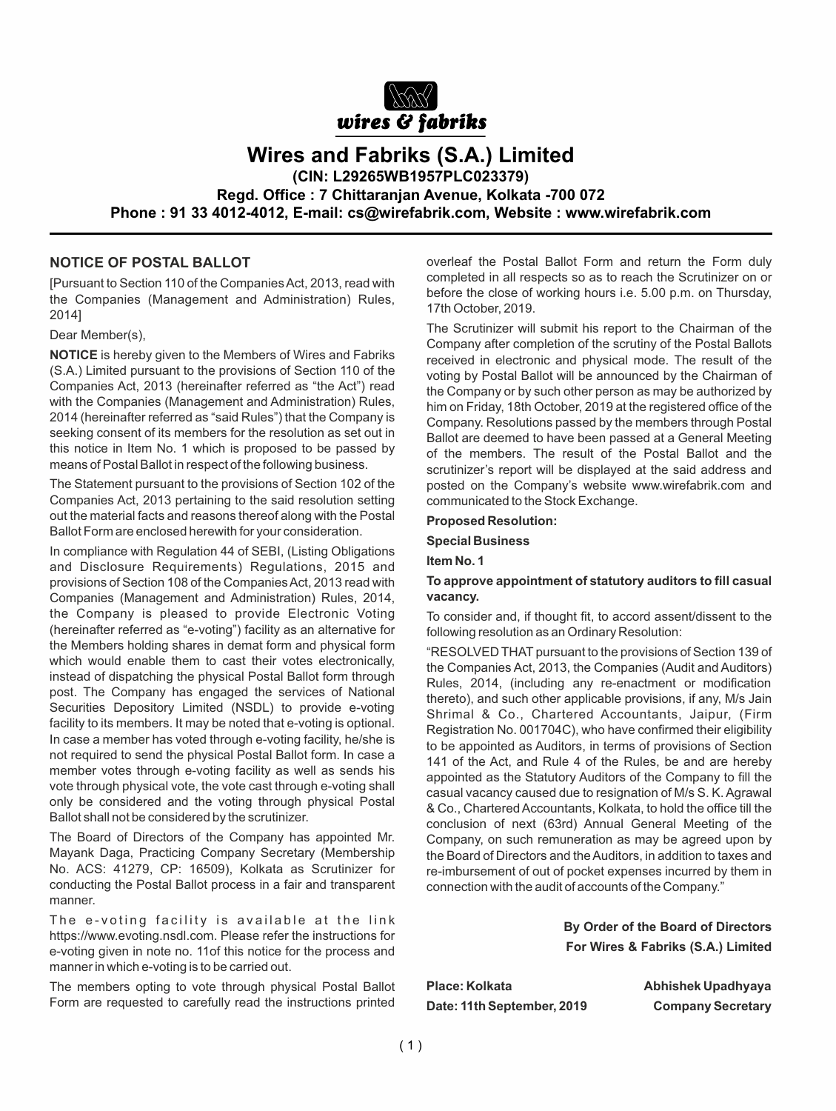

**Wires and Fabriks (S.A.) Limited**

**(CIN: L29265WB1957PLC023379)**

**Regd. Office : 7 Chittaranjan Avenue, Kolkata -700 072**

**Phone : 91 33 4012-4012, E-mail: cs@wirefabrik.com, Website : www.wirefabrik.com**

# **NOTICE OF POSTAL BALLOT**

[Pursuant to Section 110 of the Companies Act, 2013, read with the Companies (Management and Administration) Rules, 2014]

Dear Member(s),

**NOTICE** is hereby given to the Members of Wires and Fabriks (S.A.) Limited pursuant to the provisions of Section 110 of the Companies Act, 2013 (hereinafter referred as "the Act") read with the Companies (Management and Administration) Rules, 2014 (hereinafter referred as "said Rules") that the Company is seeking consent of its members for the resolution as set out in this notice in Item No. 1 which is proposed to be passed by means of Postal Ballot in respect of the following business.

The Statement pursuant to the provisions of Section 102 of the Companies Act, 2013 pertaining to the said resolution setting out the material facts and reasons thereof along with the Postal Ballot Form are enclosed herewith for your consideration.

In compliance with Regulation 44 of SEBI, (Listing Obligations and Disclosure Requirements) Regulations, 2015 and provisions of Section 108 of the Companies Act, 2013 read with Companies (Management and Administration) Rules, 2014, the Company is pleased to provide Electronic Voting (hereinafter referred as "e-voting") facility as an alternative for the Members holding shares in demat form and physical form which would enable them to cast their votes electronically, instead of dispatching the physical Postal Ballot form through post. The Company has engaged the services of National Securities Depository Limited (NSDL) to provide e-voting facility to its members. It may be noted that e-voting is optional. In case a member has voted through e-voting facility, he/she is not required to send the physical Postal Ballot form. In case a member votes through e-voting facility as well as sends his vote through physical vote, the vote cast through e-voting shall only be considered and the voting through physical Postal Ballot shall not be considered by the scrutinizer.

The Board of Directors of the Company has appointed Mr. Mayank Daga, Practicing Company Secretary (Membership No. ACS: 41279, CP: 16509), Kolkata as Scrutinizer for conducting the Postal Ballot process in a fair and transparent manner.

The e-voting facility is available at the link https://www.evoting.nsdl.com. Please refer the instructions for e-voting given in note no. 11of this notice for the process and manner in which e-voting is to be carried out.

The members opting to vote through physical Postal Ballot Form are requested to carefully read the instructions printed overleaf the Postal Ballot Form and return the Form duly completed in all respects so as to reach the Scrutinizer on or before the close of working hours i.e. 5.00 p.m. on Thursday, 17th October, 2019.

The Scrutinizer will submit his report to the Chairman of the Company after completion of the scrutiny of the Postal Ballots received in electronic and physical mode. The result of the voting by Postal Ballot will be announced by the Chairman of the Company or by such other person as may be authorized by him on Friday, 18th October, 2019 at the registered office of the Company. Resolutions passed by the members through Postal Ballot are deemed to have been passed at a General Meeting of the members. The result of the Postal Ballot and the scrutinizer's report will be displayed at the said address and posted on the Company's website www.wirefabrik.com and communicated to the Stock Exchange.

#### **Proposed Resolution:**

**Special Business**

**Item No. 1**

# **To approve appointment of statutory auditors to fill casual vacancy.**

To consider and, if thought fit, to accord assent/dissent to the following resolution as an Ordinary Resolution:

"RESOLVED THAT pursuant to the provisions of Section 139 of the Companies Act, 2013, the Companies (Audit and Auditors) Rules, 2014, (including any re-enactment or modification thereto), and such other applicable provisions, if any, M/s Jain Shrimal & Co., Chartered Accountants, Jaipur, (Firm Registration No. 001704C), who have confirmed their eligibility to be appointed as Auditors, in terms of provisions of Section 141 of the Act, and Rule 4 of the Rules, be and are hereby appointed as the Statutory Auditors of the Company to fill the casual vacancy caused due to resignation of M/s S. K. Agrawal & Co., Chartered Accountants, Kolkata, to hold the office till the conclusion of next (63rd) Annual General Meeting of the Company, on such remuneration as may be agreed upon by the Board of Directors and the Auditors, in addition to taxes and re-imbursement of out of pocket expenses incurred by them in connection with the audit of accounts of the Company."

> **By Order of the Board of Directors For Wires & Fabriks (S.A.) Limited**

Place: Kolkata **Abhishek Upadhyaya Date: 11th September, 2019 Company Secretary**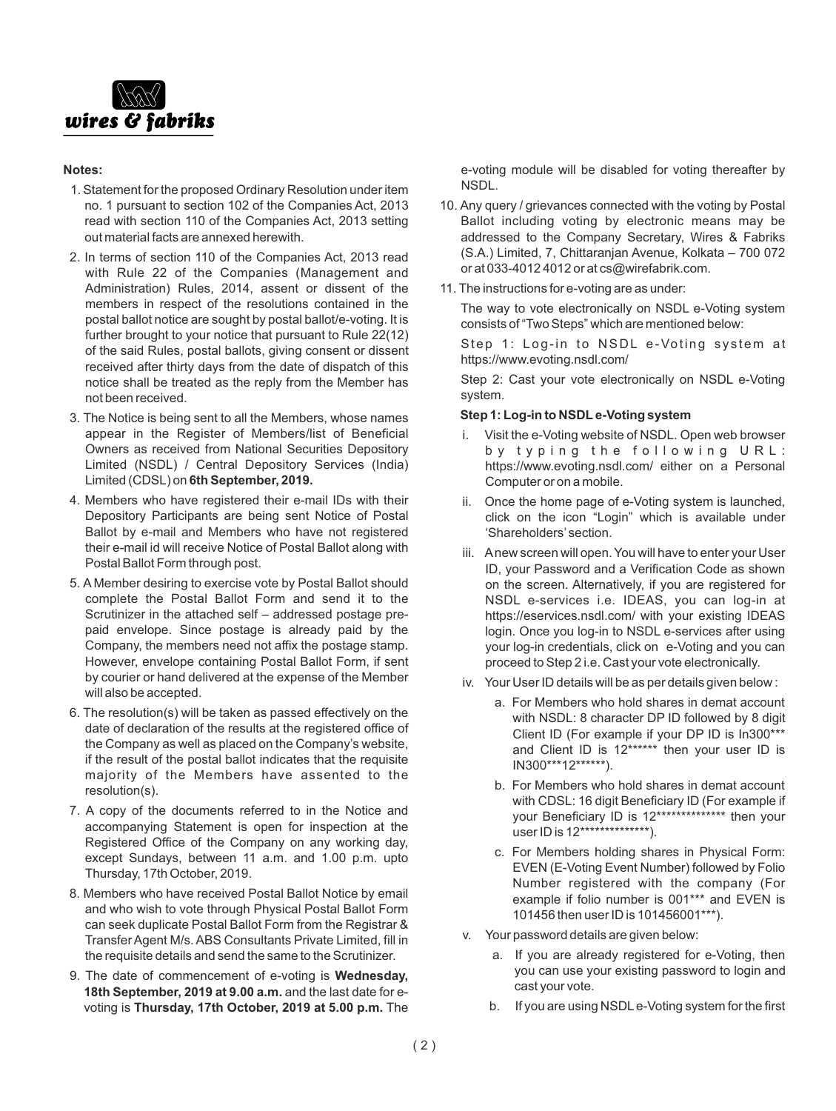

# **Notes:**

- 1. Statement for the proposed Ordinary Resolution under item no. 1 pursuant to section 102 of the Companies Act, 2013 read with section 110 of the Companies Act, 2013 setting out material facts are annexed herewith.
- 2. In terms of section 110 of the Companies Act, 2013 read with Rule 22 of the Companies (Management and Administration) Rules, 2014, assent or dissent of the members in respect of the resolutions contained in the postal ballot notice are sought by postal ballot/e-voting. It is further brought to your notice that pursuant to Rule 22(12) of the said Rules, postal ballots, giving consent or dissent received after thirty days from the date of dispatch of this notice shall be treated as the reply from the Member has not been received.
- 3. The Notice is being sent to all the Members, whose names appear in the Register of Members/list of Beneficial Owners as received from National Securities Depository Limited (NSDL) / Central Depository Services (India) Limited (CDSL) on **6th September, 2019.**
- 4. Members who have registered their e-mail IDs with their Depository Participants are being sent Notice of Postal Ballot by e-mail and Members who have not registered their e-mail id will receive Notice of Postal Ballot along with Postal Ballot Form through post.
- 5. A Member desiring to exercise vote by Postal Ballot should complete the Postal Ballot Form and send it to the Scrutinizer in the attached self – addressed postage prepaid envelope. Since postage is already paid by the Company, the members need not affix the postage stamp. However, envelope containing Postal Ballot Form, if sent by courier or hand delivered at the expense of the Member will also be accepted.
- 6. The resolution(s) will be taken as passed effectively on the date of declaration of the results at the registered office of the Company as well as placed on the Company's website, if the result of the postal ballot indicates that the requisite majority of the Members have assented to the resolution(s).
- 7. A copy of the documents referred to in the Notice and accompanying Statement is open for inspection at the Registered Office of the Company on any working day, except Sundays, between 11 a.m. and 1.00 p.m. upto Thursday, 17th October, 2019.
- 8. Members who have received Postal Ballot Notice by email and who wish to vote through Physical Postal Ballot Form can seek duplicate Postal Ballot Form from the Registrar & Transfer Agent M/s. ABS Consultants Private Limited, fill in the requisite details and send the same to the Scrutinizer.
- 9. The date of commencement of e-voting is **Wednesday, 18th September, 2019 at 9.00 a.m.** and the last date for evoting is **Thursday, 17th October, 2019 at 5.00 p.m.** The

e-voting module will be disabled for voting thereafter by NSDL.

- 10. Any query / grievances connected with the voting by Postal Ballot including voting by electronic means may be addressed to the Company Secretary, Wires & Fabriks (S.A.) Limited, 7, Chittaranjan Avenue, Kolkata – 700 072 or at 033-4012 4012 or at cs@wirefabrik.com.
- 11. The instructions for e-voting are as under:

The way to vote electronically on NSDL e-Voting system consists of "Two Steps" which are mentioned below:

Step 1: Log-in to NSDL e-Voting system at https://www.evoting.nsdl.com/

Step 2: Cast your vote electronically on NSDL e-Voting system.

# **Step 1: Log-in to NSDLe-Voting system**

- i. Visit the e-Voting website of NSDL. Open web browser by typing the following URL: https://www.evoting.nsdl.com/ either on a Personal Computer or on a mobile.
- ii. Once the home page of e-Voting system is launched, click on the icon "Login" which is available under 'Shareholders' section.
- iii. Anew screen will open. You will have to enter your User ID, your Password and a Verification Code as shown on the screen. Alternatively, if you are registered for NSDL e-services i.e. IDEAS, you can log-in at https://eservices.nsdl.com/ with your existing IDEAS login. Once you log-in to NSDL e-services after using your log-in credentials, click on e-Voting and you can proceed to Step 2 i.e. Cast your vote electronically.
- iv. Your User ID details will be as per details given below :
	- a. For Members who hold shares in demat account with NSDL: 8 character DP ID followed by 8 digit Client ID (For example if your DP ID is In300\*\*\* and Client ID is 12\*\*\*\*\*\* then your user ID is IN300\*\*\*12\*\*\*\*\*\*).
	- b. For Members who hold shares in demat account with CDSL: 16 digit Beneficiary ID (For example if your Beneficiary ID is 12\*\*\*\*\*\*\*\*\*\*\*\*\*\* then your user ID is 12\*\*\*\*\*\*\*\*\*\*\*\*\*\*).
	- c. For Members holding shares in Physical Form: EVEN (E-Voting Event Number) followed by Folio Number registered with the company (For example if folio number is 001\*\*\* and EVEN is 101456 then user ID is 101456001\*\*\*).
- v. Your password details are given below:
	- a. If you are already registered for e-Voting, then you can use your existing password to login and cast your vote.
	- b. If you are using NSDLe-Voting system for the first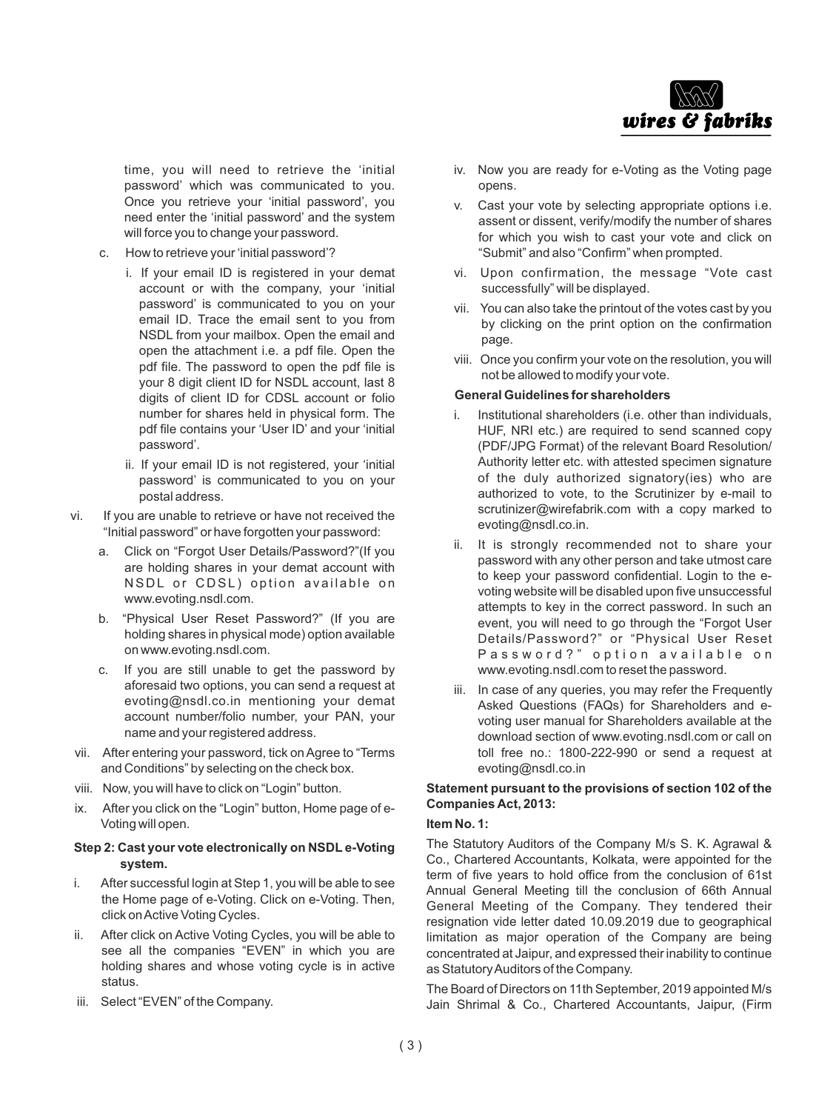

time, you will need to retrieve the 'initial password' which was communicated to you. Once you retrieve your 'initial password', you need enter the 'initial password' and the system will force you to change your password.

- c. How to retrieve your 'initial password'?
	- i. If your email ID is registered in your demat account or with the company, your 'initial password' is communicated to you on your email ID. Trace the email sent to you from NSDL from your mailbox. Open the email and open the attachment i.e. a pdf file. Open the pdf file. The password to open the pdf file is your 8 digit client ID for NSDL account, last 8 digits of client ID for CDSL account or folio number for shares held in physical form. The pdf file contains your 'User ID' and your 'initial password'.
	- ii. If your email ID is not registered, your 'initial password' is communicated to you on your postal address.
- vi. If you are unable to retrieve or have not received the "Initial password" or have forgotten your password:
	- a. Click on "Forgot User Details/Password?"(If you are holding shares in your demat account with NSDL or CDSL) option available on www.evoting.nsdl.com.
	- b. "Physical User Reset Password?" (If you are holding shares in physical mode) option available on www.evoting.nsdl.com.
	- c. If you are still unable to get the password by aforesaid two options, you can send a request at evoting@nsdl.co.in mentioning your demat account number/folio number, your PAN, your name and your registered address.
- vii. After entering your password, tick on Agree to "Terms and Conditions" by selecting on the check box.
- viii. Now, you will have to click on "Login" button.
- ix. After you click on the "Login" button, Home page of e-Voting will open.

# **Step 2: Cast your vote electronically on NSDL e-Voting system.**

- i. After successful login at Step 1, you will be able to see the Home page of e-Voting. Click on e-Voting. Then, click on Active Voting Cycles.
- ii. After click on Active Voting Cycles, you will be able to see all the companies "EVEN" in which you are holding shares and whose voting cycle is in active status.
- iii. Select "EVEN" of the Company.
- iv. Now you are ready for e-Voting as the Voting page opens.
- v. Cast your vote by selecting appropriate options i.e. assent or dissent, verify/modify the number of shares for which you wish to cast your vote and click on "Submit" and also "Confirm" when prompted.
- vi. Upon confirmation, the message "Vote cast successfully" will be displayed.
- vii. You can also take the printout of the votes cast by you by clicking on the print option on the confirmation page.
- viii. Once you confirm your vote on the resolution, you will not be allowed to modify your vote.

#### **General Guidelines for shareholders**

- i. Institutional shareholders (i.e. other than individuals, HUF, NRI etc.) are required to send scanned copy (PDF/JPG Format) of the relevant Board Resolution/ Authority letter etc. with attested specimen signature of the duly authorized signatory(ies) who are authorized to vote, to the Scrutinizer by e-mail to scrutinizer@wirefabrik.com with a copy marked to evoting@nsdl.co.in.
- ii. It is strongly recommended not to share your password with any other person and take utmost care to keep your password confidential. Login to the evoting website will be disabled upon five unsuccessful attempts to key in the correct password. In such an event, you will need to go through the "Forgot User Details/Password?" or "Physical User Reset Password?" option available on www.evoting.nsdl.com to reset the password.
- iii. In case of any queries, you may refer the Frequently Asked Questions (FAQs) for Shareholders and evoting user manual for Shareholders available at the download section of www.evoting.nsdl.com or call on toll free no.: 1800-222-990 or send a request at evoting@nsdl.co.in

# **Statement pursuant to the provisions of section 102 of the Companies Act, 2013:**

# **Item No. 1:**

The Statutory Auditors of the Company M/s S. K. Agrawal & Co., Chartered Accountants, Kolkata, were appointed for the term of five years to hold office from the conclusion of 61st Annual General Meeting till the conclusion of 66th Annual General Meeting of the Company. They tendered their resignation vide letter dated 10.09.2019 due to geographical limitation as major operation of the Company are being concentrated at Jaipur, and expressed their inability to continue as Statutory Auditors of the Company.

The Board of Directors on 11th September, 2019 appointed M/s Jain Shrimal & Co., Chartered Accountants, Jaipur, (Firm